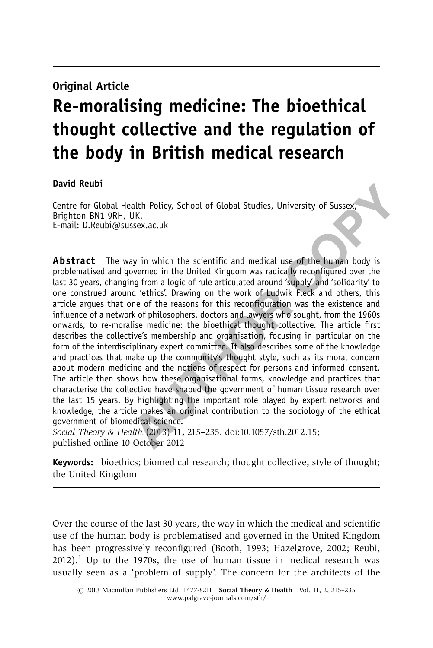# Original Article

# Re-moralising medicine: The bioethical thought collective and the regulation of the body in British medical research

#### David Reubi

Centre for Global Health Policy, School of Global Studies, University of Sussex, Brighton BN1 9RH, UK. E-mail: D.Reubi@sussex.ac.uk

**AUTE AUTOMOR CONTROLLAT SCEND CONDUPTER CONDIGET INTEREM (SOFT) AND SOFT AND SOFT AND SOFT AND SURFAUTH IN SECT AND SURFAUTHED (SURFAUTHED AS, changing from a logic of rule articulated around 'supply' and 'solidarity to e** Abstract The way in which the scientific and medical use of the human body is problematised and governed in the United Kingdom was radically reconfigured over the last 30 years, changing from a logic of rule articulated around 'supply' and 'solidarity' to one construed around 'ethics'. Drawing on the work of Ludwik Fleck and others, this article argues that one of the reasons for this reconfiguration was the existence and influence of a network of philosophers, doctors and lawyers who sought, from the 1960s onwards, to re-moralise medicine: the bioethical thought collective. The article first describes the collective's membership and organisation, focusing in particular on the form of the interdisciplinary expert committee. It also describes some of the knowledge and practices that make up the community's thought style, such as its moral concern about modern medicine and the notions of respect for persons and informed consent. The article then shows how these organisational forms, knowledge and practices that characterise the collective have shaped the government of human tissue research over the last 15 years. By highlighting the important role played by expert networks and knowledge, the article makes an original contribution to the sociology of the ethical government of biomedical science.

Social Theory & Health (2013) 11, 215–235. doi:10.1057/sth.2012.15; published online 10 October 2012

Keywords: bioethics; biomedical research; thought collective; style of thought; the United Kingdom

Over the course of the last 30 years, the way in which the medical and scientific use of the human body is problematised and governed in the United Kingdom has been progressively reconfigured (Booth, 1993; Hazelgrove, 2002; Reubi,  $2012$ ).<sup>1</sup> Up to the 1970s, the use of human tissue in medical research was usually seen as a 'problem of supply'. The concern for the architects of the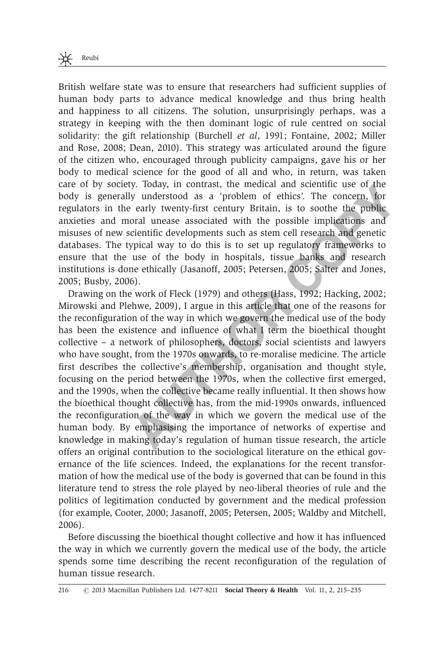

British welfare state was to ensure that researchers had sufficient supplies of human body parts to advance medical knowledge and thus bring health and happiness to all citizens. The solution, unsurprisingly perhaps, was a strategy in keeping with the then dominant logic of rule centred on social solidarity: the gift relationship (Burchell et al, 1991; Fontaine, 2002; Miller and Rose, 2008; Dean, 2010). This strategy was articulated around the figure of the citizen who, encouraged through publicity campaigns, gave his or her body to medical science for the good of all and who, in return, was taken care of by society. Today, in contrast, the medical and scientific use of the body is generally understood as a 'problem of ethics'. The concern, for regulators in the early twenty-first century Britain, is to soothe the public anxieties and moral unease associated with the possible implications and misuses of new scientific developments such as stem cell research and genetic databases. The typical way to do this is to set up regulatory frameworks to ensure that the use of the body in hospitals, tissue banks and research institutions is done ethically (Jasanoff, 2005; Petersen, 2005; Salter and Jones, 2005; Busby, 2006).

**y** Society. Ional, the micharal, the mendical and scienting use of the near and scienting understood as a 'problem of ethics'. The concern, for is in the early twenty-first century Britain, is to soothe the public and mor Drawing on the work of Fleck (1979) and others (Hass, 1992; Hacking, 2002; Mirowski and Plehwe, 2009), I argue in this article that one of the reasons for the reconfiguration of the way in which we govern the medical use of the body has been the existence and influence of what I term the bioethical thought collective – a network of philosophers, doctors, social scientists and lawyers who have sought, from the 1970s onwards, to re-moralise medicine. The article first describes the collective's membership, organisation and thought style, focusing on the period between the 1970s, when the collective first emerged, and the 1990s, when the collective became really influential. It then shows how the bioethical thought collective has, from the mid-1990s onwards, influenced the reconfiguration of the way in which we govern the medical use of the human body. By emphasising the importance of networks of expertise and knowledge in making today's regulation of human tissue research, the article offers an original contribution to the sociological literature on the ethical governance of the life sciences. Indeed, the explanations for the recent transformation of how the medical use of the body is governed that can be found in this literature tend to stress the role played by neo-liberal theories of rule and the politics of legitimation conducted by government and the medical profession (for example, Cooter, 2000; Jasanoff, 2005; Petersen, 2005; Waldby and Mitchell, 2006).

Before discussing the bioethical thought collective and how it has influenced the way in which we currently govern the medical use of the body, the article spends some time describing the recent reconfiguration of the regulation of human tissue research.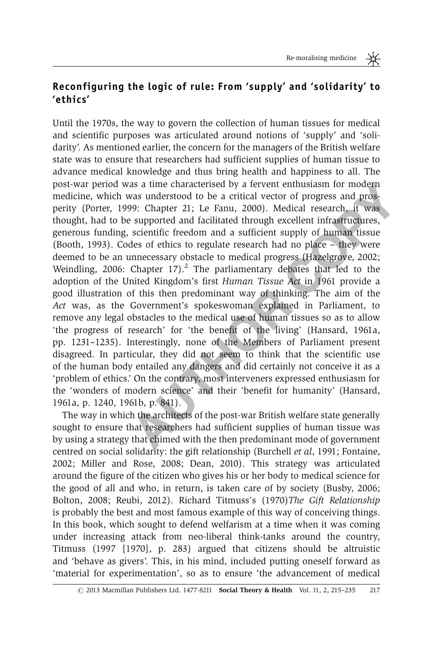# 米

## Reconfiguring the logic of rule: From 'supply' and 'solidarity' to 'ethics'

ernow was a dime Chracteriste by a fervent entunuation for modeon<br>which was understood to be a critical vector of progress and pres-<br>ter, 1999: Chapter 21; Le Fanu, 2000). Medical research, it was<br>do to be supported and fa Until the 1970s, the way to govern the collection of human tissues for medical and scientific purposes was articulated around notions of 'supply' and 'solidarity'. As mentioned earlier, the concern for the managers of the British welfare state was to ensure that researchers had sufficient supplies of human tissue to advance medical knowledge and thus bring health and happiness to all. The post-war period was a time characterised by a fervent enthusiasm for modern medicine, which was understood to be a critical vector of progress and prosperity (Porter, 1999: Chapter 21; Le Fanu, 2000). Medical research, it was thought, had to be supported and facilitated through excellent infrastructures, generous funding, scientific freedom and a sufficient supply of human tissue (Booth, 1993). Codes of ethics to regulate research had no place – they were deemed to be an unnecessary obstacle to medical progress (Hazelgrove, 2002; Weindling, 2006: Chapter  $17$ ).<sup>2</sup> The parliamentary debates that led to the adoption of the United Kingdom's first Human Tissue Act in 1961 provide a good illustration of this then predominant way of thinking. The aim of the Act was, as the Government's spokeswoman explained in Parliament, to remove any legal obstacles to the medical use of human tissues so as to allow 'the progress of research' for 'the benefit of the living' (Hansard, 1961a, pp. 1231–1235). Interestingly, none of the Members of Parliament present disagreed. In particular, they did not seem to think that the scientific use of the human body entailed any dangers and did certainly not conceive it as a 'problem of ethics.' On the contrary, most interveners expressed enthusiasm for the 'wonders of modern science' and their 'benefit for humanity' (Hansard, 1961a, p. 1240, 1961b, p. 841).

The way in which the architects of the post-war British welfare state generally sought to ensure that researchers had sufficient supplies of human tissue was by using a strategy that chimed with the then predominant mode of government centred on social solidarity: the gift relationship (Burchell et al, 1991; Fontaine, 2002; Miller and Rose, 2008; Dean, 2010). This strategy was articulated around the figure of the citizen who gives his or her body to medical science for the good of all and who, in return, is taken care of by society (Busby, 2006; Bolton, 2008; Reubi, 2012). Richard Titmuss's (1970)The Gift Relationship is probably the best and most famous example of this way of conceiving things. In this book, which sought to defend welfarism at a time when it was coming under increasing attack from neo-liberal think-tanks around the country, Titmuss (1997 [1970], p. 283) argued that citizens should be altruistic and 'behave as givers'. This, in his mind, included putting oneself forward as 'material for experimentation', so as to ensure 'the advancement of medical

<sup>© 2013</sup> Macmillan Publishers Ltd. 1477-8211 Social Theory & Health Vol. 11, 2, 215-235 217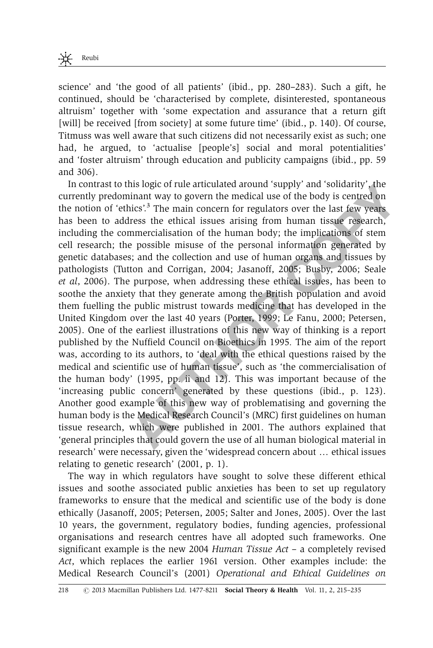science' and 'the good of all patients' (ibid., pp. 280–283). Such a gift, he continued, should be 'characterised by complete, disinterested, spontaneous altruism' together with 'some expectation and assurance that a return gift [will] be received [from society] at some future time' (ibid., p. 140). Of course, Titmuss was well aware that such citizens did not necessarily exist as such; one had, he argued, to 'actualise [people's] social and moral potentialities' and 'foster altruism' through education and publicity campaigns (ibid., pp. 59 and 306).

atast to unsolge to fundamated around supply and soludarity, the<br>the predominant way to govern the medical use of the body is centred on<br>a of 'ethics'.<sup>3</sup> The main concern for regulators over the last few years<br>to address In contrast to this logic of rule articulated around 'supply' and 'solidarity', the currently predominant way to govern the medical use of the body is centred on the notion of 'ethics'.<sup>3</sup> The main concern for regulators over the last few years has been to address the ethical issues arising from human tissue research, including the commercialisation of the human body; the implications of stem cell research; the possible misuse of the personal information generated by genetic databases; and the collection and use of human organs and tissues by pathologists (Tutton and Corrigan, 2004; Jasanoff, 2005; Busby, 2006; Seale et al, 2006). The purpose, when addressing these ethical issues, has been to soothe the anxiety that they generate among the British population and avoid them fuelling the public mistrust towards medicine that has developed in the United Kingdom over the last 40 years (Porter, 1999; Le Fanu, 2000; Petersen, 2005). One of the earliest illustrations of this new way of thinking is a report published by the Nuffield Council on Bioethics in 1995. The aim of the report was, according to its authors, to 'deal with the ethical questions raised by the medical and scientific use of human tissue', such as 'the commercialisation of the human body' (1995, pp. ii and 12). This was important because of the 'increasing public concern' generated by these questions (ibid., p. 123). Another good example of this new way of problematising and governing the human body is the Medical Research Council's (MRC) first guidelines on human tissue research, which were published in 2001. The authors explained that 'general principles that could govern the use of all human biological material in research' were necessary, given the 'widespread concern about ... ethical issues relating to genetic research' (2001, p. 1).

The way in which regulators have sought to solve these different ethical issues and soothe associated public anxieties has been to set up regulatory frameworks to ensure that the medical and scientific use of the body is done ethically (Jasanoff, 2005; Petersen, 2005; Salter and Jones, 2005). Over the last 10 years, the government, regulatory bodies, funding agencies, professional organisations and research centres have all adopted such frameworks. One significant example is the new 2004 Human Tissue  $Act - a$  completely revised Act, which replaces the earlier 1961 version. Other examples include: the Medical Research Council's (2001) Operational and Ethical Guidelines on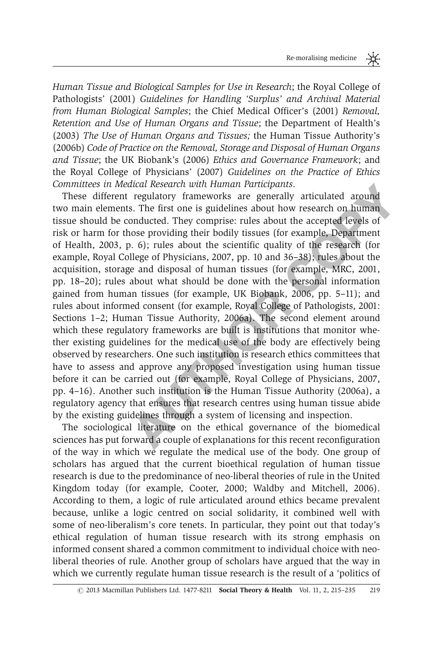Human Tissue and Biological Samples for Use in Research; the Royal College of Pathologists' (2001) Guidelines for Handling 'Surplus' and Archival Material from Human Biological Samples; the Chief Medical Officer's (2001) Removal, Retention and Use of Human Organs and Tissue; the Department of Health's (2003) The Use of Human Organs and Tissues; the Human Tissue Authority's (2006b) Code of Practice on the Removal, Storage and Disposal of Human Organs and Tissue; the UK Biobank's (2006) Ethics and Governance Framework; and the Royal College of Physicians' (2007) Guidelines on the Practice of Ethics Committees in Medical Research with Human Participants.

*bit Wielatal Research with trainfur rentiqualities* are appearing the *stifferent regulatory frameworks* are generally articulated around elements. The first one is guidelines about how research on human for those providi These different regulatory frameworks are generally articulated around two main elements. The first one is guidelines about how research on human tissue should be conducted. They comprise: rules about the accepted levels of risk or harm for those providing their bodily tissues (for example, Department of Health, 2003, p. 6); rules about the scientific quality of the research (for example, Royal College of Physicians, 2007, pp. 10 and 36–38); rules about the acquisition, storage and disposal of human tissues (for example, MRC, 2001, pp. 18–20); rules about what should be done with the personal information gained from human tissues (for example, UK Biobank, 2006, pp. 5–11); and rules about informed consent (for example, Royal College of Pathologists, 2001: Sections 1–2; Human Tissue Authority, 2006a). The second element around which these regulatory frameworks are built is institutions that monitor whether existing guidelines for the medical use of the body are effectively being observed by researchers. One such institution is research ethics committees that have to assess and approve any proposed investigation using human tissue before it can be carried out (for example, Royal College of Physicians, 2007, pp. 4–16). Another such institution is the Human Tissue Authority (2006a), a regulatory agency that ensures that research centres using human tissue abide by the existing guidelines through a system of licensing and inspection.

The sociological literature on the ethical governance of the biomedical sciences has put forward a couple of explanations for this recent reconfiguration of the way in which we regulate the medical use of the body. One group of scholars has argued that the current bioethical regulation of human tissue research is due to the predominance of neo-liberal theories of rule in the United Kingdom today (for example, Cooter, 2000; Waldby and Mitchell, 2006). According to them, a logic of rule articulated around ethics became prevalent because, unlike a logic centred on social solidarity, it combined well with some of neo-liberalism's core tenets. In particular, they point out that today's ethical regulation of human tissue research with its strong emphasis on informed consent shared a common commitment to individual choice with neoliberal theories of rule. Another group of scholars have argued that the way in which we currently regulate human tissue research is the result of a 'politics of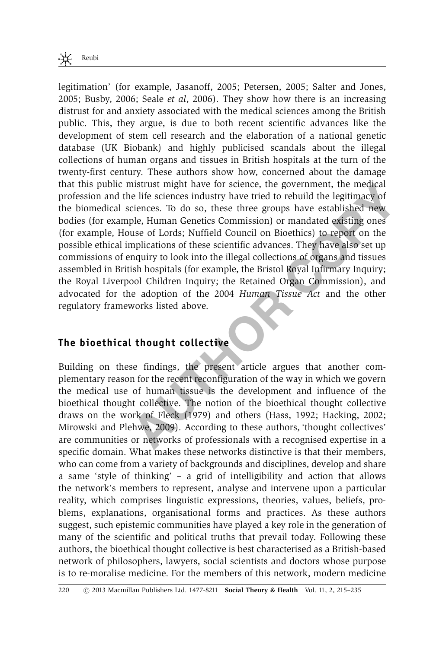legitimation' (for example, Jasanoff, 2005; Petersen, 2005; Salter and Jones, 2005; Busby, 2006; Seale et al, 2006). They show how there is an increasing distrust for and anxiety associated with the medical sciences among the British public. This, they argue, is due to both recent scientific advances like the development of stem cell research and the elaboration of a national genetic database (UK Biobank) and highly publicised scandals about the illegal collections of human organs and tissues in British hospitals at the turn of the twenty-first century. These authors show how, concerned about the damage that this public mistrust might have for science, the government, the medical profession and the life sciences industry have tried to rebuild the legitimacy of the biomedical sciences. To do so, these three groups have established new bodies (for example, Human Genetics Commission) or mandated existing ones (for example, House of Lords; Nuffield Council on Bioethics) to report on the possible ethical implications of these scientific advances. They have also set up commissions of enquiry to look into the illegal collections of organs and tissues assembled in British hospitals (for example, the Bristol Royal Infirmary Inquiry; the Royal Liverpool Children Inquiry; the Retained Organ Commission), and advocated for the adoption of the 2004 Human Tissue Act and the other regulatory frameworks listed above.

### The bioethical thought collective

pother instants mignt latev to science, the government, the meteatral<br>n and the life sciences industry have tried to rebuild the legitimacy of<br>edical sciences. To do so, these three groups have established new<br>rexample, Hu Building on these findings, the present article argues that another complementary reason for the recent reconfiguration of the way in which we govern the medical use of human tissue is the development and influence of the bioethical thought collective. The notion of the bioethical thought collective draws on the work of Fleck (1979) and others (Hass, 1992; Hacking, 2002; Mirowski and Plehwe, 2009). According to these authors, 'thought collectives' are communities or networks of professionals with a recognised expertise in a specific domain. What makes these networks distinctive is that their members, who can come from a variety of backgrounds and disciplines, develop and share a same 'style of thinking' – a grid of intelligibility and action that allows the network's members to represent, analyse and intervene upon a particular reality, which comprises linguistic expressions, theories, values, beliefs, problems, explanations, organisational forms and practices. As these authors suggest, such epistemic communities have played a key role in the generation of many of the scientific and political truths that prevail today. Following these authors, the bioethical thought collective is best characterised as a British-based network of philosophers, lawyers, social scientists and doctors whose purpose is to re-moralise medicine. For the members of this network, modern medicine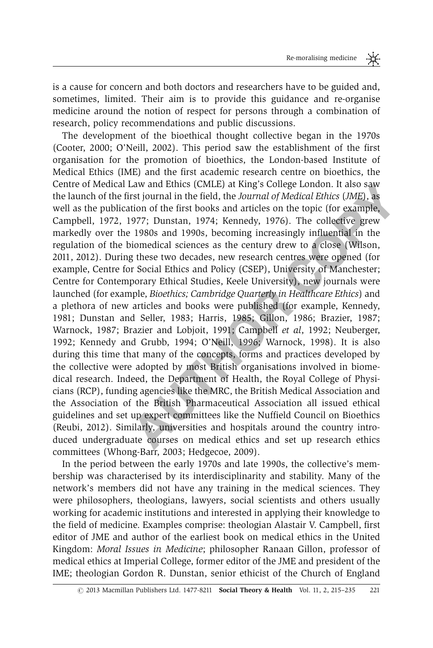is a cause for concern and both doctors and researchers have to be guided and, sometimes, limited. Their aim is to provide this guidance and re-organise medicine around the notion of respect for persons through a combination of research, policy recommendations and public discussions.

**Example 2 EXAMPLE 1 EXAMPLE 1 EXAMPLE 1 EXAMPLE CONCED AND EXAMPLE CONCED AND EXAMPLE 1 AND EXAMPLE 1 AND EXAMPLE 1 AND AND EXAMPLE 1 AND AND EXAMPLE 1 AND AND AND AND AND A** The development of the bioethical thought collective began in the 1970s (Cooter, 2000; O'Neill, 2002). This period saw the establishment of the first organisation for the promotion of bioethics, the London-based Institute of Medical Ethics (IME) and the first academic research centre on bioethics, the Centre of Medical Law and Ethics (CMLE) at King's College London. It also saw the launch of the first journal in the field, the Journal of Medical Ethics (JME), as well as the publication of the first books and articles on the topic (for example, Campbell, 1972, 1977; Dunstan, 1974; Kennedy, 1976). The collective grew markedly over the 1980s and 1990s, becoming increasingly influential in the regulation of the biomedical sciences as the century drew to a close (Wilson, 2011, 2012). During these two decades, new research centres were opened (for example, Centre for Social Ethics and Policy (CSEP), University of Manchester; Centre for Contemporary Ethical Studies, Keele University), new journals were launched (for example, Bioethics; Cambridge Quarterly in Healthcare Ethics) and a plethora of new articles and books were published (for example, Kennedy, 1981; Dunstan and Seller, 1983; Harris, 1985; Gillon, 1986; Brazier, 1987; Warnock, 1987; Brazier and Lobjoit, 1991; Campbell et al, 1992; Neuberger, 1992; Kennedy and Grubb, 1994; O'Neill, 1996; Warnock, 1998). It is also during this time that many of the concepts, forms and practices developed by the collective were adopted by most British organisations involved in biomedical research. Indeed, the Department of Health, the Royal College of Physicians (RCP), funding agencies like the MRC, the British Medical Association and the Association of the British Pharmaceutical Association all issued ethical guidelines and set up expert committees like the Nuffield Council on Bioethics (Reubi, 2012). Similarly, universities and hospitals around the country introduced undergraduate courses on medical ethics and set up research ethics committees (Whong-Barr, 2003; Hedgecoe, 2009).

In the period between the early 1970s and late 1990s, the collective's membership was characterised by its interdisciplinarity and stability. Many of the network's members did not have any training in the medical sciences. They were philosophers, theologians, lawyers, social scientists and others usually working for academic institutions and interested in applying their knowledge to the field of medicine. Examples comprise: theologian Alastair V. Campbell, first editor of JME and author of the earliest book on medical ethics in the United Kingdom: Moral Issues in Medicine; philosopher Ranaan Gillon, professor of medical ethics at Imperial College, former editor of the JME and president of the IME; theologian Gordon R. Dunstan, senior ethicist of the Church of England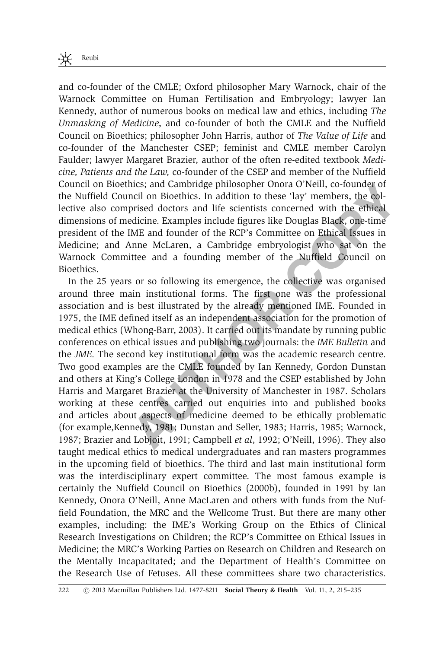and co-founder of the CMLE; Oxford philosopher Mary Warnock, chair of the Warnock Committee on Human Fertilisation and Embryology; lawyer Ian Kennedy, author of numerous books on medical law and ethics, including The Unmasking of Medicine, and co-founder of both the CMLE and the Nuffield Council on Bioethics; philosopher John Harris, author of The Value of Life and co-founder of the Manchester CSEP; feminist and CMLE member Carolyn Faulder; lawyer Margaret Brazier, author of the often re-edited textbook Medicine, Patients and the Law, co-founder of the CSEP and member of the Nuffield Council on Bioethics; and Cambridge philosopher Onora O'Neill, co-founder of the Nuffield Council on Bioethics. In addition to these 'lay' members, the collective also comprised doctors and life scientists concerned with the ethical dimensions of medicine. Examples include figures like Douglas Black, one-time president of the IME and founder of the RCP's Committee on Ethical Issues in Medicine; and Anne McLaren, a Cambridge embryologist who sat on the Warnock Committee and a founding member of the Nuffield Council on Bioethics.

**Examples and Cambunge punosper Durate States and Cambung punosper Durate of Defini, co-lounded of the ME and founcil on Bioethics. In addition to these 'lay' members, the col-<br>and Council on Bioethics. In addition to thes** In the 25 years or so following its emergence, the collective was organised around three main institutional forms. The first one was the professional association and is best illustrated by the already mentioned IME. Founded in 1975, the IME defined itself as an independent association for the promotion of medical ethics (Whong-Barr, 2003). It carried out its mandate by running public conferences on ethical issues and publishing two journals: the IME Bulletin and the JME. The second key institutional form was the academic research centre. Two good examples are the CMLE founded by Ian Kennedy, Gordon Dunstan and others at King's College London in 1978 and the CSEP established by John Harris and Margaret Brazier at the University of Manchester in 1987. Scholars working at these centres carried out enquiries into and published books and articles about aspects of medicine deemed to be ethically problematic (for example,Kennedy, 1981; Dunstan and Seller, 1983; Harris, 1985; Warnock, 1987; Brazier and Lobjoit, 1991; Campbell *et al*, 1992; O'Neill, 1996). They also taught medical ethics to medical undergraduates and ran masters programmes in the upcoming field of bioethics. The third and last main institutional form was the interdisciplinary expert committee. The most famous example is certainly the Nuffield Council on Bioethics (2000b), founded in 1991 by Ian Kennedy, Onora O'Neill, Anne MacLaren and others with funds from the Nuffield Foundation, the MRC and the Wellcome Trust. But there are many other examples, including: the IME's Working Group on the Ethics of Clinical Research Investigations on Children; the RCP's Committee on Ethical Issues in Medicine; the MRC's Working Parties on Research on Children and Research on the Mentally Incapacitated; and the Department of Health's Committee on the Research Use of Fetuses. All these committees share two characteristics.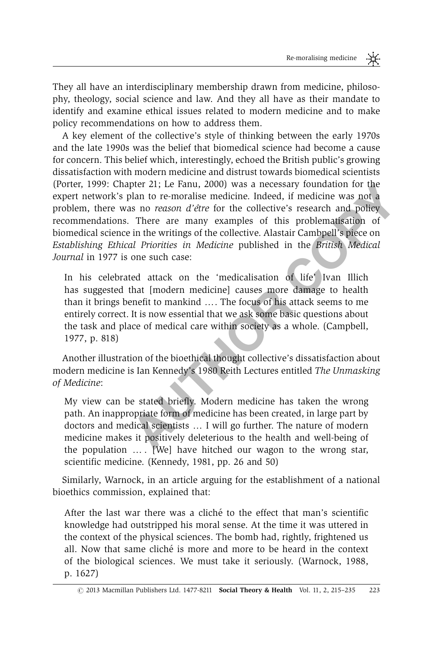They all have an interdisciplinary membership drawn from medicine, philosophy, theology, social science and law. And they all have as their mandate to identify and examine ethical issues related to modern medicine and to make policy recommendations on how to address them.

**EXALGUE 21; Le Fallo, 2000) was a necessary foundation for the systemation** of the source 2. The rank contest is plan to re-moralise medicine. Indeed, if medicine was not a here was not *reason d'être* for the collective' A key element of the collective's style of thinking between the early 1970s and the late 1990s was the belief that biomedical science had become a cause for concern. This belief which, interestingly, echoed the British public's growing dissatisfaction with modern medicine and distrust towards biomedical scientists (Porter, 1999: Chapter 21; Le Fanu, 2000) was a necessary foundation for the expert network's plan to re-moralise medicine. Indeed, if medicine was not a problem, there was no *reason d'être* for the collective's research and policy recommendations. There are many examples of this problematisation of biomedical science in the writings of the collective. Alastair Cambpell's piece on Establishing Ethical Priorities in Medicine published in the British Medical Journal in 1977 is one such case:

In his celebrated attack on the 'medicalisation of life' Ivan Illich has suggested that [modern medicine] causes more damage to health than it brings benefit to mankind .... The focus of his attack seems to me entirely correct. It is now essential that we ask some basic questions about the task and place of medical care within society as a whole. (Campbell, 1977, p. 818)

Another illustration of the bioethical thought collective's dissatisfaction about modern medicine is Ian Kennedy's 1980 Reith Lectures entitled The Unmasking of Medicine:

My view can be stated briefly. Modern medicine has taken the wrong path. An inappropriate form of medicine has been created, in large part by doctors and medical scientists ... I will go further. The nature of modern medicine makes it positively deleterious to the health and well-being of the population  $\ldots$ . [We] have hitched our wagon to the wrong star, scientific medicine. (Kennedy, 1981, pp. 26 and 50)

Similarly, Warnock, in an article arguing for the establishment of a national bioethics commission, explained that:

After the last war there was a cliché to the effect that man's scientific knowledge had outstripped his moral sense. At the time it was uttered in the context of the physical sciences. The bomb had, rightly, frightened us all. Now that same cliché is more and more to be heard in the context of the biological sciences. We must take it seriously. (Warnock, 1988, p. 1627)

r 2013 Macmillan Publishers Ltd. 1477-8211 Social Theory & Health Vol. 11, 2, 215–235 223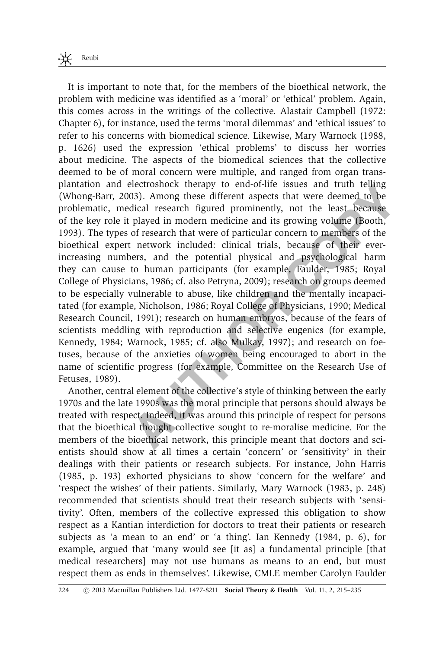**a** and encordshock unelay to end-or-inte issues and trun and encordshock unelay abar, 2003). Among these different aspects that were deemed to be tic, medical research figured prominently, not the least because y role it It is important to note that, for the members of the bioethical network, the problem with medicine was identified as a 'moral' or 'ethical' problem. Again, this comes across in the writings of the collective. Alastair Campbell (1972: Chapter 6), for instance, used the terms 'moral dilemmas' and 'ethical issues' to refer to his concerns with biomedical science. Likewise, Mary Warnock (1988, p. 1626) used the expression 'ethical problems' to discuss her worries about medicine. The aspects of the biomedical sciences that the collective deemed to be of moral concern were multiple, and ranged from organ transplantation and electroshock therapy to end-of-life issues and truth telling (Whong-Barr, 2003). Among these different aspects that were deemed to be problematic, medical research figured prominently, not the least because of the key role it played in modern medicine and its growing volume (Booth, 1993). The types of research that were of particular concern to members of the bioethical expert network included: clinical trials, because of their everincreasing numbers, and the potential physical and psychological harm they can cause to human participants (for example, Faulder, 1985; Royal College of Physicians, 1986; cf. also Petryna, 2009); research on groups deemed to be especially vulnerable to abuse, like children and the mentally incapacitated (for example, Nicholson, 1986; Royal College of Physicians, 1990; Medical Research Council, 1991); research on human embryos, because of the fears of scientists meddling with reproduction and selective eugenics (for example, Kennedy, 1984; Warnock, 1985; cf. also Mulkay, 1997); and research on foetuses, because of the anxieties of women being encouraged to abort in the name of scientific progress (for example, Committee on the Research Use of Fetuses, 1989).

Another, central element of the collective's style of thinking between the early 1970s and the late 1990s was the moral principle that persons should always be treated with respect. Indeed, it was around this principle of respect for persons that the bioethical thought collective sought to re-moralise medicine. For the members of the bioethical network, this principle meant that doctors and scientists should show at all times a certain 'concern' or 'sensitivity' in their dealings with their patients or research subjects. For instance, John Harris (1985, p. 193) exhorted physicians to show 'concern for the welfare' and 'respect the wishes' of their patients. Similarly, Mary Warnock (1983, p. 248) recommended that scientists should treat their research subjects with 'sensitivity'. Often, members of the collective expressed this obligation to show respect as a Kantian interdiction for doctors to treat their patients or research subjects as 'a mean to an end' or 'a thing'. Ian Kennedy (1984, p. 6), for example, argued that 'many would see [it as] a fundamental principle [that medical researchers] may not use humans as means to an end, but must respect them as ends in themselves'. Likewise, CMLE member Carolyn Faulder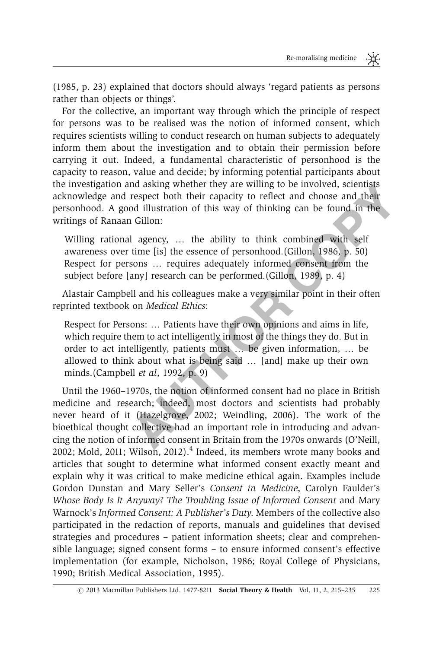(1985, p. 23) explained that doctors should always 'regard patients as persons rather than objects or things'.

For the collective, an important way through which the principle of respect for persons was to be realised was the notion of informed consent, which requires scientists willing to conduct research on human subjects to adequately inform them about the investigation and to obtain their permission before carrying it out. Indeed, a fundamental characteristic of personhood is the capacity to reason, value and decide; by informing potential participants about the investigation and asking whether they are willing to be involved, scientists acknowledge and respect both their capacity to reflect and choose and their personhood. A good illustration of this way of thinking can be found in the writings of Ranaan Gillon:

Willing rational agency, ... the ability to think combined with self awareness over time [is] the essence of personhood.(Gillon, 1986, p. 50) Respect for persons ... requires adequately informed consent from the subject before [any] research can be performed.(Gillon, 1989, p. 4)

Alastair Campbell and his colleagues make a very similar point in their often reprinted textbook on Medical Ethics:

Respect for Persons: ... Patients have their own opinions and aims in life, which require them to act intelligently in most of the things they do. But in order to act intelligently, patients must  $\ldots$  be given information,  $\ldots$  be allowed to think about what is being said  $\ldots$  [and] make up their own minds.(Campbell et al, 1992, p. 9)

gation and assume they are winning to be involved, scentists and an assembled and assembled. A good illustration of this way of thinking can be found in the Ranaan Gillon: Tational agency, ... the ability to think combined Until the 1960–1970s, the notion of informed consent had no place in British medicine and research; indeed, most doctors and scientists had probably never heard of it (Hazelgrove, 2002; Weindling, 2006). The work of the bioethical thought collective had an important role in introducing and advancing the notion of informed consent in Britain from the 1970s onwards (O'Neill, 2002; Mold, 2011; Wilson, 2012).<sup>4</sup> Indeed, its members wrote many books and articles that sought to determine what informed consent exactly meant and explain why it was critical to make medicine ethical again. Examples include Gordon Dunstan and Mary Seller's Consent in Medicine, Carolyn Faulder's Whose Body Is It Anyway? The Troubling Issue of Informed Consent and Mary Warnock's Informed Consent: A Publisher's Duty. Members of the collective also participated in the redaction of reports, manuals and guidelines that devised strategies and procedures – patient information sheets; clear and comprehensible language; signed consent forms – to ensure informed consent's effective implementation (for example, Nicholson, 1986; Royal College of Physicians, 1990; British Medical Association, 1995).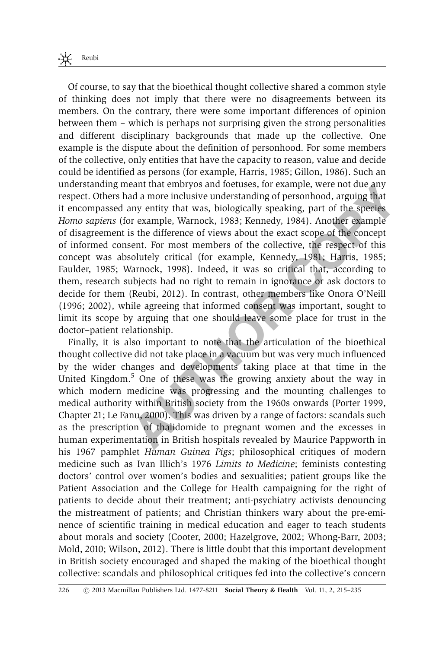Of course, to say that the bioethical thought collective shared a common style of thinking does not imply that there were no disagreements between its members. On the contrary, there were some important differences of opinion between them – which is perhaps not surprising given the strong personalities and different disciplinary backgrounds that made up the collective. One example is the dispute about the definition of personhood. For some members of the collective, only entities that have the capacity to reason, value and decide could be identified as persons (for example, Harris, 1985; Gillon, 1986). Such an understanding meant that embryos and foetuses, for example, were not due any respect. Others had a more inclusive understanding of personhood, arguing that it encompassed any entity that was, biologically speaking, part of the species Homo sapiens (for example, Warnock, 1983; Kennedy, 1984). Another example of disagreement is the difference of views about the exact scope of the concept of informed consent. For most members of the collective, the respect of this concept was absolutely critical (for example, Kennedy, 1981; Harris, 1985; Faulder, 1985; Warnock, 1998). Indeed, it was so critical that, according to them, research subjects had no right to remain in ignorance or ask doctors to decide for them (Reubi, 2012). In contrast, other members like Onora O'Neill (1996; 2002), while agreeing that informed consent was important, sought to limit its scope by arguing that one should leave some place for trust in the doctor–patient relationship.

dimplerate that entiny so and obeuses, to reasapple, were not oue any<br>thens had a more inclusive understanding of personhood, arguing that<br>aassed any entity that was, biologically speaking, part of the species<br>*biens* (for Finally, it is also important to note that the articulation of the bioethical thought collective did not take place in a vacuum but was very much influenced by the wider changes and developments taking place at that time in the United Kingdom. $5$  One of these was the growing anxiety about the way in which modern medicine was progressing and the mounting challenges to medical authority within British society from the 1960s onwards (Porter 1999, Chapter 21; Le Fanu, 2000). This was driven by a range of factors: scandals such as the prescription of thalidomide to pregnant women and the excesses in human experimentation in British hospitals revealed by Maurice Pappworth in his 1967 pamphlet Human Guinea Pigs; philosophical critiques of modern medicine such as Ivan Illich's 1976 Limits to Medicine; feminists contesting doctors' control over women's bodies and sexualities; patient groups like the Patient Association and the College for Health campaigning for the right of patients to decide about their treatment; anti-psychiatry activists denouncing the mistreatment of patients; and Christian thinkers wary about the pre-eminence of scientific training in medical education and eager to teach students about morals and society (Cooter, 2000; Hazelgrove, 2002; Whong-Barr, 2003; Mold, 2010; Wilson, 2012). There is little doubt that this important development in British society encouraged and shaped the making of the bioethical thought collective: scandals and philosophical critiques fed into the collective's concern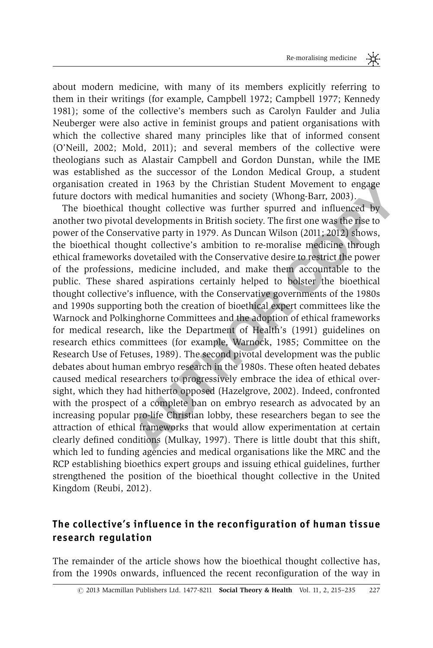about modern medicine, with many of its members explicitly referring to them in their writings (for example, Campbell 1972; Campbell 1977; Kennedy 1981); some of the collective's members such as Carolyn Faulder and Julia Neuberger were also active in feminist groups and patient organisations with which the collective shared many principles like that of informed consent (O'Neill, 2002; Mold, 2011); and several members of the collective were theologians such as Alastair Campbell and Gordon Dunstan, while the IME was established as the successor of the London Medical Group, a student organisation created in 1963 by the Christian Student Movement to engage future doctors with medical humanities and society (Whong-Barr, 2003).

If created in 1990 by the Constain suduent invortinent to engage<br>or ors with medical humanities and society (Whong-Barr, 2003).<br> **Ethical thought collective was further spurred and influenced by**<br>
pivotal developments in B The bioethical thought collective was further spurred and influenced by another two pivotal developments in British society. The first one was the rise to power of the Conservative party in 1979. As Duncan Wilson (2011; 2012) shows, the bioethical thought collective's ambition to re-moralise medicine through ethical frameworks dovetailed with the Conservative desire to restrict the power of the professions, medicine included, and make them accountable to the public. These shared aspirations certainly helped to bolster the bioethical thought collective's influence, with the Conservative governments of the 1980s and 1990s supporting both the creation of bioethical expert committees like the Warnock and Polkinghorne Committees and the adoption of ethical frameworks for medical research, like the Department of Health's (1991) guidelines on research ethics committees (for example, Warnock, 1985; Committee on the Research Use of Fetuses, 1989). The second pivotal development was the public debates about human embryo research in the 1980s. These often heated debates caused medical researchers to progressively embrace the idea of ethical oversight, which they had hitherto opposed (Hazelgrove, 2002). Indeed, confronted with the prospect of a complete ban on embryo research as advocated by an increasing popular pro-life Christian lobby, these researchers began to see the attraction of ethical frameworks that would allow experimentation at certain clearly defined conditions (Mulkay, 1997). There is little doubt that this shift, which led to funding agencies and medical organisations like the MRC and the RCP establishing bioethics expert groups and issuing ethical guidelines, further strengthened the position of the bioethical thought collective in the United Kingdom (Reubi, 2012).

#### The collective's influence in the reconfiguration of human tissue research regulation

The remainder of the article shows how the bioethical thought collective has, from the 1990s onwards, influenced the recent reconfiguration of the way in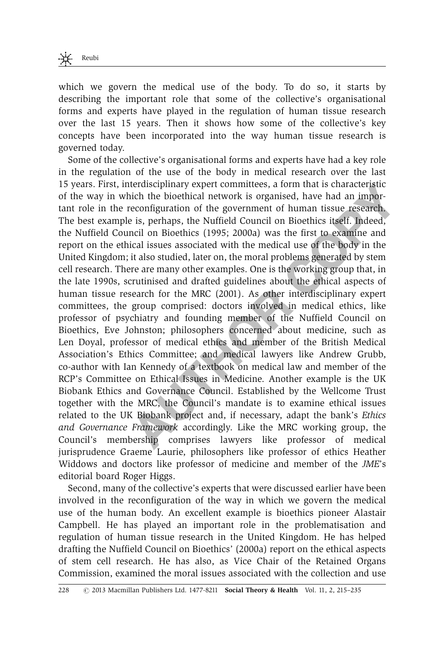which we govern the medical use of the body. To do so, it starts by describing the important role that some of the collective's organisational forms and experts have played in the regulation of human tissue research over the last 15 years. Then it shows how some of the collective's key concepts have been incorporated into the way human tissue research is governed today.

FIFISI, intenusciplinary experi comininates, a roin unat is characteristic, and the biorchical network is organised, have had an impor-<br>in the reconfiguration of the government of human tissue research.<br>example is, perhaps Some of the collective's organisational forms and experts have had a key role in the regulation of the use of the body in medical research over the last 15 years. First, interdisciplinary expert committees, a form that is characteristic of the way in which the bioethical network is organised, have had an important role in the reconfiguration of the government of human tissue research. The best example is, perhaps, the Nuffield Council on Bioethics itself. Indeed, the Nuffield Council on Bioethics (1995; 2000a) was the first to examine and report on the ethical issues associated with the medical use of the body in the United Kingdom; it also studied, later on, the moral problems generated by stem cell research. There are many other examples. One is the working group that, in the late 1990s, scrutinised and drafted guidelines about the ethical aspects of human tissue research for the MRC (2001). As other interdisciplinary expert committees, the group comprised: doctors involved in medical ethics, like professor of psychiatry and founding member of the Nuffield Council on Bioethics, Eve Johnston; philosophers concerned about medicine, such as Len Doyal, professor of medical ethics and member of the British Medical Association's Ethics Committee; and medical lawyers like Andrew Grubb, co-author with Ian Kennedy of a textbook on medical law and member of the RCP's Committee on Ethical Issues in Medicine. Another example is the UK Biobank Ethics and Governance Council. Established by the Wellcome Trust together with the MRC, the Council's mandate is to examine ethical issues related to the UK Biobank project and, if necessary, adapt the bank's Ethics and Governance Framework accordingly. Like the MRC working group, the Council's membership comprises lawyers like professor of medical jurisprudence Graeme Laurie, philosophers like professor of ethics Heather Widdows and doctors like professor of medicine and member of the JME's editorial board Roger Higgs.

Second, many of the collective's experts that were discussed earlier have been involved in the reconfiguration of the way in which we govern the medical use of the human body. An excellent example is bioethics pioneer Alastair Campbell. He has played an important role in the problematisation and regulation of human tissue research in the United Kingdom. He has helped drafting the Nuffield Council on Bioethics' (2000a) report on the ethical aspects of stem cell research. He has also, as Vice Chair of the Retained Organs Commission, examined the moral issues associated with the collection and use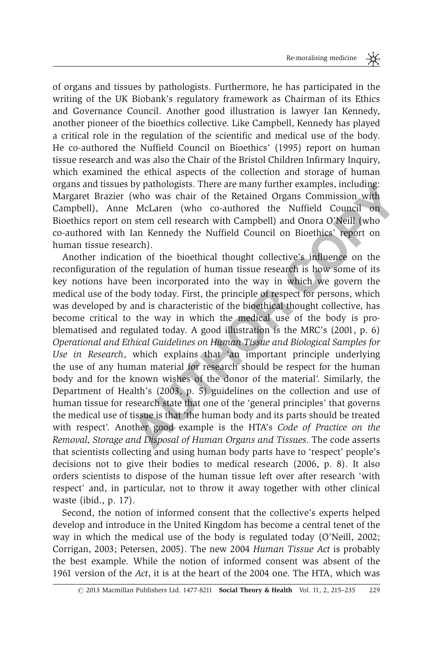of organs and tissues by pathologists. Furthermore, he has participated in the writing of the UK Biobank's regulatory framework as Chairman of its Ethics and Governance Council. Another good illustration is lawyer Ian Kennedy, another pioneer of the bioethics collective. Like Campbell, Kennedy has played a critical role in the regulation of the scientific and medical use of the body. He co-authored the Nuffield Council on Bioethics' (1995) report on human tissue research and was also the Chair of the Bristol Children Infirmary Inquiry, which examined the ethical aspects of the collection and storage of human organs and tissues by pathologists. There are many further examples, including: Margaret Brazier (who was chair of the Retained Organs Commission with Campbell), Anne McLaren (who co-authored the Nuffield Council on Bioethics report on stem cell research with Campbell) and Onora O'Neill (who co-authored with Ian Kennedy the Nuffield Council on Bioethics' report on human tissue research).

**Exsues by partionogists.** There are finally further examples, including:<br> **Exaction** (who was shair of the Retained Organs Commission with<br>
Anne McLaren (who co-authored the Nuffield Council on<br>
Anne McLaren (who co-autho Another indication of the bioethical thought collective's influence on the reconfiguration of the regulation of human tissue research is how some of its key notions have been incorporated into the way in which we govern the medical use of the body today. First, the principle of respect for persons, which was developed by and is characteristic of the bioethical thought collective, has become critical to the way in which the medical use of the body is problematised and regulated today. A good illustration is the MRC's (2001, p. 6) Operational and Ethical Guidelines on Human Tissue and Biological Samples for Use in Research, which explains that 'an important principle underlying the use of any human material for research should be respect for the human body and for the known wishes of the donor of the material'. Similarly, the Department of Health's (2003, p. 5) guidelines on the collection and use of human tissue for research state that one of the 'general principles' that governs the medical use of tissue is that 'the human body and its parts should be treated with respect'. Another good example is the HTA's Code of Practice on the Removal, Storage and Disposal of Human Organs and Tissues. The code asserts that scientists collecting and using human body parts have to 'respect' people's decisions not to give their bodies to medical research (2006, p. 8). It also orders scientists to dispose of the human tissue left over after research 'with respect' and, in particular, not to throw it away together with other clinical waste (ibid., p. 17).

Second, the notion of informed consent that the collective's experts helped develop and introduce in the United Kingdom has become a central tenet of the way in which the medical use of the body is regulated today (O'Neill, 2002; Corrigan, 2003; Petersen, 2005). The new 2004 Human Tissue Act is probably the best example. While the notion of informed consent was absent of the 1961 version of the Act, it is at the heart of the 2004 one. The HTA, which was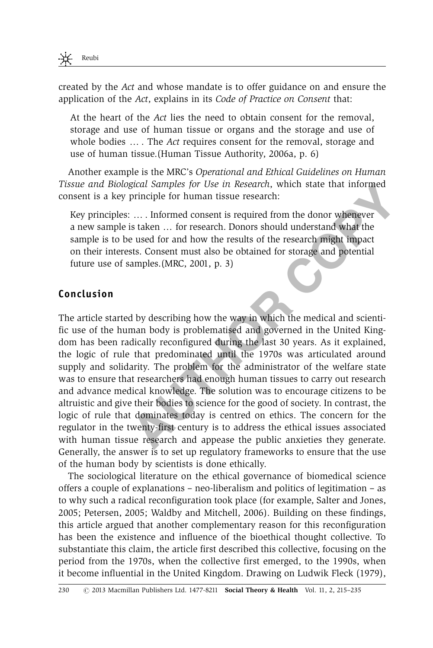created by the Act and whose mandate is to offer guidance on and ensure the application of the Act, explains in its Code of Practice on Consent that:

At the heart of the Act lies the need to obtain consent for the removal, storage and use of human tissue or organs and the storage and use of whole bodies  $\ldots$ . The Act requires consent for the removal, storage and use of human tissue.(Human Tissue Authority, 2006a, p. 6)

Another example is the MRC's Operational and Ethical Guidelines on Human Tissue and Biological Samples for Use in Research, which state that informed consent is a key principle for human tissue research:

Key principles: ... Informed consent is required from the donor whenever a new sample is taken ... for research. Donors should understand what the sample is to be used for and how the results of the research might impact on their interests. Consent must also be obtained for storage and potential future use of samples.(MRC, 2001, p. 3)

#### Conclusion

*AUTHORY COFF OF OSF OF TRESPACIT,* WINCIT state that informed<br> *A Box principle for human tissue research;*<br> *A* a key principle for human tissue research;<br>
Alternatively and the sixted of or and how the results of the re The article started by describing how the way in which the medical and scientific use of the human body is problematised and governed in the United Kingdom has been radically reconfigured during the last 30 years. As it explained, the logic of rule that predominated until the 1970s was articulated around supply and solidarity. The problem for the administrator of the welfare state was to ensure that researchers had enough human tissues to carry out research and advance medical knowledge. The solution was to encourage citizens to be altruistic and give their bodies to science for the good of society. In contrast, the logic of rule that dominates today is centred on ethics. The concern for the regulator in the twenty-first century is to address the ethical issues associated with human tissue research and appease the public anxieties they generate. Generally, the answer is to set up regulatory frameworks to ensure that the use of the human body by scientists is done ethically.

The sociological literature on the ethical governance of biomedical science offers a couple of explanations – neo-liberalism and politics of legitimation – as to why such a radical reconfiguration took place (for example, Salter and Jones, 2005; Petersen, 2005; Waldby and Mitchell, 2006). Building on these findings, this article argued that another complementary reason for this reconfiguration has been the existence and influence of the bioethical thought collective. To substantiate this claim, the article first described this collective, focusing on the period from the 1970s, when the collective first emerged, to the 1990s, when it become influential in the United Kingdom. Drawing on Ludwik Fleck (1979),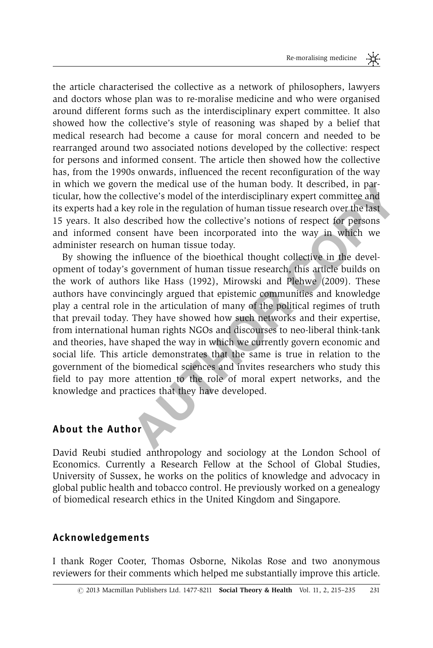the article characterised the collective as a network of philosophers, lawyers and doctors whose plan was to re-moralise medicine and who were organised around different forms such as the interdisciplinary expert committee. It also showed how the collective's style of reasoning was shaped by a belief that medical research had become a cause for moral concern and needed to be rearranged around two associated notions developed by the collective: respect for persons and informed consent. The article then showed how the collective has, from the 1990s onwards, influenced the recent reconfiguration of the way in which we govern the medical use of the human body. It described, in particular, how the collective's model of the interdisciplinary expert committee and its experts had a key role in the regulation of human tissue research over the last 15 years. It also described how the collective's notions of respect for persons and informed consent have been incorporated into the way in which we administer research on human tissue today.

 **AUTHOR COPY** By showing the influence of the bioethical thought collective in the development of today's government of human tissue research, this article builds on the work of authors like Hass (1992), Mirowski and Plehwe (2009). These authors have convincingly argued that epistemic communities and knowledge play a central role in the articulation of many of the political regimes of truth that prevail today. They have showed how such networks and their expertise, from international human rights NGOs and discourses to neo-liberal think-tank and theories, have shaped the way in which we currently govern economic and social life. This article demonstrates that the same is true in relation to the government of the biomedical sciences and invites researchers who study this field to pay more attention to the role of moral expert networks, and the knowledge and practices that they have developed.

#### About the Author

David Reubi studied anthropology and sociology at the London School of Economics. Currently a Research Fellow at the School of Global Studies, University of Sussex, he works on the politics of knowledge and advocacy in global public health and tobacco control. He previously worked on a genealogy of biomedical research ethics in the United Kingdom and Singapore.

#### Acknowledgements

I thank Roger Cooter, Thomas Osborne, Nikolas Rose and two anonymous reviewers for their comments which helped me substantially improve this article.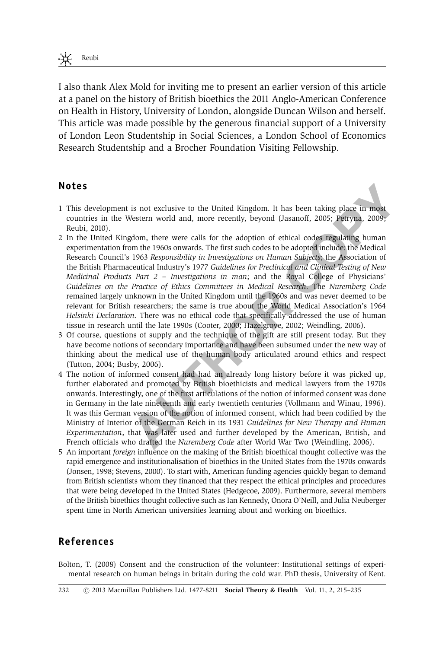

I also thank Alex Mold for inviting me to present an earlier version of this article at a panel on the history of British bioethics the 2011 Anglo-American Conference on Health in History, University of London, alongside Duncan Wilson and herself. This article was made possible by the generous financial support of a University of London Leon Studentship in Social Sciences, a London School of Economics Research Studentship and a Brocher Foundation Visiting Fellowship.

#### Notes

- 1 This development is not exclusive to the United Kingdom. It has been taking place in most countries in the Western world and, more recently, beyond (Jasanoff, 2005; Petryna, 2009; Reubi, 2010).
- **Example 18 not exclusive to the United Kingdom. It has been taking place in most in the Western world data, more recently, beyond (Jasanoff, 2005; Perryina, 2009; 10).<br>
<b>IO**). <br> **AUTHOR COPY and and the serve calls for th** 2 In the United Kingdom, there were calls for the adoption of ethical codes regulating human experimentation from the 1960s onwards. The first such codes to be adopted include: the Medical Research Council's 1963 Responsibility in Investigations on Human Subjects; the Association of the British Pharmaceutical Industry's 1977 Guidelines for Preclinical and Clinical Testing of New Medicinal Products Part  $2$  – Investigations in man; and the Royal College of Physicians' Guidelines on the Practice of Ethics Committees in Medical Research. The Nuremberg Code remained largely unknown in the United Kingdom until the 1960s and was never deemed to be relevant for British researchers; the same is true about the World Medical Association's 1964 Helsinki Declaration. There was no ethical code that specifically addressed the use of human tissue in research until the late 1990s (Cooter, 2000; Hazelgrove, 2002; Weindling, 2006).
- 3 Of course, questions of supply and the technique of the gift are still present today. But they have become notions of secondary importance and have been subsumed under the new way of thinking about the medical use of the human body articulated around ethics and respect (Tutton, 2004; Busby, 2006).
- 4 The notion of informed consent had had an already long history before it was picked up, further elaborated and promoted by British bioethicists and medical lawyers from the 1970s onwards. Interestingly, one of the first articulations of the notion of informed consent was done in Germany in the late nineteenth and early twentieth centuries (Vollmann and Winau, 1996). It was this German version of the notion of informed consent, which had been codified by the Ministry of Interior of the German Reich in its 1931 Guidelines for New Therapy and Human Experimentation, that was later used and further developed by the American, British, and French officials who drafted the Nuremberg Code after World War Two (Weindling, 2006).
- 5 An important foreign influence on the making of the British bioethical thought collective was the rapid emergence and institutionalisation of bioethics in the United States from the 1970s onwards (Jonsen, 1998; Stevens, 2000). To start with, American funding agencies quickly began to demand from British scientists whom they financed that they respect the ethical principles and procedures that were being developed in the United States (Hedgecoe, 2009). Furthermore, several members of the British bioethics thought collective such as Ian Kennedy, Onora O'Neill, and Julia Neuberger spent time in North American universities learning about and working on bioethics.

#### References

Bolton, T. (2008) Consent and the construction of the volunteer: Institutional settings of experimental research on human beings in britain during the cold war. PhD thesis, University of Kent.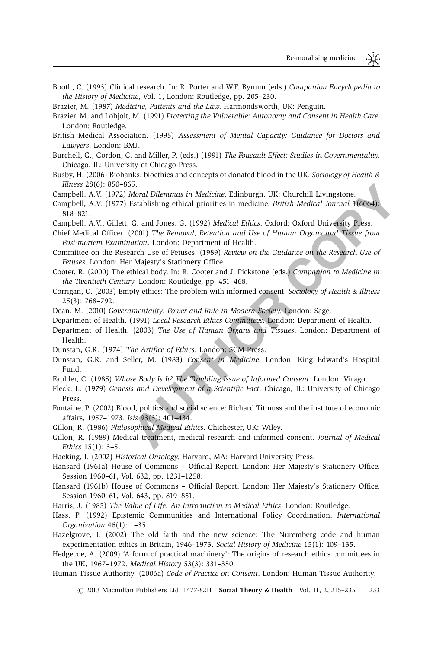- Booth, C. (1993) Clinical research. In: R. Porter and W.F. Bynum (eds.) Companion Encyclopedia to the History of Medicine, Vol. 1, London: Routledge, pp. 205–230.
- Brazier, M. (1987) Medicine, Patients and the Law. Harmondsworth, UK: Penguin.

Brazier, M. and Lobjoit, M. (1991) Protecting the Vulnerable: Autonomy and Consent in Health Care. London: Routledge.

- British Medical Association. (1995) Assessment of Mental Capacity: Guidance for Doctors and Lawyers. London: BMJ.
- Burchell, G., Gordon, C. and Miller, P. (eds.) (1991) The Foucault Effect: Studies in Governmentality. Chicago, IL: University of Chicago Press.
- Busby, H. (2006) Biobanks, bioethics and concepts of donated blood in the UK. Sociology of Health & Illness 28(6): 850–865.
- Campbell, A.V. (1972) Moral Dilemmas in Medicine. Edinburgh, UK: Churchill Livingstone.
- Campbell, A.V. (1977) Establishing ethical priorities in medicine. British Medical Journal 1(6064): 818–821.
- Campbell, A.V., Gillett, G. and Jones, G. (1992) Medical Ethics. Oxford: Oxford University Press.
- Chief Medical Officer. (2001) The Removal, Retention and Use of Human Organs and Tissue from Post-mortem Examination. London: Department of Health.
- Committee on the Research Use of Fetuses. (1989) Review on the Guidance on the Research Use of Fetuses. London: Her Majesty's Stationery Office.
- Cooter, R. (2000) The ethical body. In: R. Cooter and J. Pickstone (eds.) Companion to Medicine in the Twentieth Century. London: Routledge, pp. 451–468.
- Corrigan, O. (2003) Empty ethics: The problem with informed consent. Sociology of Health & Illness 25(3): 768–792.
- Dean, M. (2010) Governmentality: Power and Rule in Modern Society. London: Sage.
- Department of Health. (1991) Local Research Ethics Committees. London: Department of Health.
- 31: Sab-Sos.<br> **ADTES (1972)** Moral Dilemmas in Medicine. Edinburgh, UK: Churchill Livingstone.<br> **V.** (1972) Establishing ethical priorities in medicine. *British Medical Journal* 1(6064):<br> **AUTHOR COPY** Extended Recentral Department of Health. (2003) The Use of Human Organs and Tissues. London: Department of Health.
- Dunstan, G.R. (1974) The Artifice of Ethics. London: SCM Press.
- Dunstan, G.R. and Seller, M. (1983) Consent in Medicine. London: King Edward's Hospital Fund.
- Faulder, C. (1985) Whose Body Is It? The Troubling Issue of Informed Consent. London: Virago.
- Fleck, L. (1979) Genesis and Development of a Scientific Fact. Chicago, IL: University of Chicago Press.
- Fontaine, P. (2002) Blood, politics and social science: Richard Titmuss and the institute of economic affairs, 1957–1973. Isis 93(3): 401–434.
- Gillon, R. (1986) Philosophical Medical Ethics. Chichester, UK: Wiley.
- Gillon, R. (1989) Medical treatment, medical research and informed consent. Journal of Medical Ethics 15(1): 3–5.
- Hacking, I. (2002) Historical Ontology. Harvard, MA: Harvard University Press.
- Hansard (1961a) House of Commons Official Report. London: Her Majesty's Stationery Office. Session 1960–61, Vol. 632, pp. 1231–1258.
- Hansard (1961b) House of Commons Official Report. London: Her Majesty's Stationery Office. Session 1960–61, Vol. 643, pp. 819–851.
- Harris, J. (1985) The Value of Life: An Introduction to Medical Ethics. London: Routledge.
- Hass, P. (1992) Epistemic Communities and International Policy Coordination. International Organization 46(1): 1–35.
- Hazelgrove, J. (2002) The old faith and the new science: The Nuremberg code and human experimentation ethics in Britain, 1946–1973. Social History of Medicine 15(1): 109–135.
- Hedgecoe, A. (2009) 'A form of practical machinery': The origins of research ethics committees in the UK, 1967–1972. Medical History 53(3): 331–350.

Human Tissue Authority. (2006a) Code of Practice on Consent. London: Human Tissue Authority.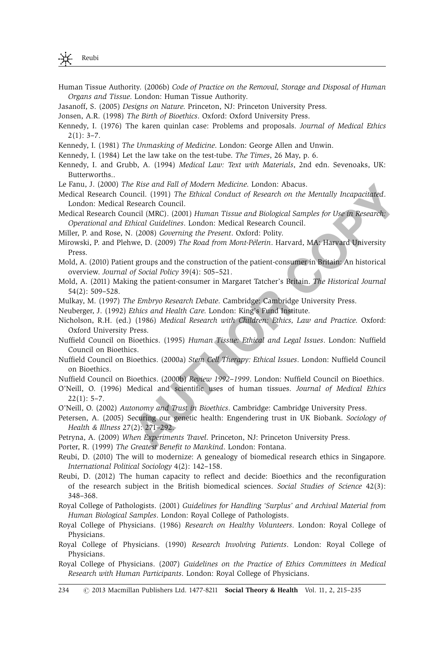Human Tissue Authority. (2006b) Code of Practice on the Removal, Storage and Disposal of Human Organs and Tissue. London: Human Tissue Authority.

Jasanoff, S. (2005) Designs on Nature. Princeton, NJ: Princeton University Press.

- Jonsen, A.R. (1998) The Birth of Bioethics. Oxford: Oxford University Press.
- Kennedy, I. (1976) The karen quinlan case: Problems and proposals. Journal of Medical Ethics  $2(1): 3-7$
- Kennedy, I. (1981) The Unmasking of Medicine. London: George Allen and Unwin.
- Kennedy, I. (1984) Let the law take on the test-tube. The Times, 26 May, p. 6.
- Kennedy, I. and Grubb, A. (1994) Medical Law: Text with Materials, 2nd edn. Sevenoaks, UK: Butterworths..
- Le Fanu, J. (2000) The Rise and Fall of Modern Medicine. London: Abacus.
- Medical Research Council. (1991) The Ethical Conduct of Research on the Mentally Incapacitated. London: Medical Research Council.
- Medical Research Council (MRC). (2001) Human Tissue and Biological Samples for Use in Research: Operational and Ethical Guidelines. London: Medical Research Council.
- Miller, P. and Rose, N. (2008) Governing the Present. Oxford: Polity.
- Mirowski, P. and Plehwe, D. (2009) The Road from Mont-Pelerin. Harvard, MA: Harvard University Press.
- Mold, A. (2010) Patient groups and the construction of the patient-consumer in Britain: An historical overview. Journal of Social Policy 39(4): 505–521.

Mold, A. (2011) Making the patient-consumer in Margaret Tatcher's Britain. The Historical Journal 54(2): 509–528.

- Mulkay, M. (1997) The Embryo Research Debate. Cambridge: Cambridge University Press.
- Neuberger, J. (1992) Ethics and Health Care. London: King's Fund Institute.
- Nicholson, R.H. (ed.) (1986) Medical Research with Children: Ethics, Law and Practice. Oxford: Oxford University Press.
- Nuffield Council on Bioethics. (1995) Human Tissue: Ethical and Legal Issues. London: Nuffield Council on Bioethics.
- Nuffield Council on Bioethics. (2000a) Stem Cell Therapy: Ethical Issues. London: Nuffield Council on Bioethics.
- Nuffield Council on Bioethics. (2000b) Review 1992–1999. London: Nuffield Council on Bioethics.
- O'Neill, O. (1996) Medical and scientific uses of human tissues. Journal of Medical Ethics  $22(1): 5-7.$
- O'Neill, O. (2002) Autonomy and Trust in Bioethics. Cambridge: Cambridge University Press.
- Petersen, A. (2005) Securing our genetic health: Engendering trust in UK Biobank. Sociology of Health & Illness 27(2): 271–292.
- Petryna, A. (2009) When Experiments Travel. Princeton, NJ: Princeton University Press.
- Porter, R. (1999) The Greatest Benefit to Mankind. London: Fontana.
- Reubi, D. (2010) The will to modernize: A genealogy of biomedical research ethics in Singapore. International Political Sociology 4(2): 142–158.
- (2000) Tate Rate Pata Pata Pata Dy Modern Medicine: London: Abactus.<br>
Reaction Council. (1991) The Ethical Conduct of Research on the Mentally Incapactitated.<br>
Medicial Research Council.<br>
Action Council (MRC). (2001) Human Reubi, D. (2012) The human capacity to reflect and decide: Bioethics and the reconfiguration of the research subject in the British biomedical sciences. Social Studies of Science 42(3): 348–368.
- Royal College of Pathologists. (2001) Guidelines for Handling 'Surplus' and Archival Material from Human Biological Samples. London: Royal College of Pathologists.
- Royal College of Physicians. (1986) Research on Healthy Volunteers. London: Royal College of Physicians.
- Royal College of Physicians. (1990) Research Involving Patients. London: Royal College of Physicians.
- Royal College of Physicians. (2007) Guidelines on the Practice of Ethics Committees in Medical Research with Human Participants. London: Royal College of Physicians.